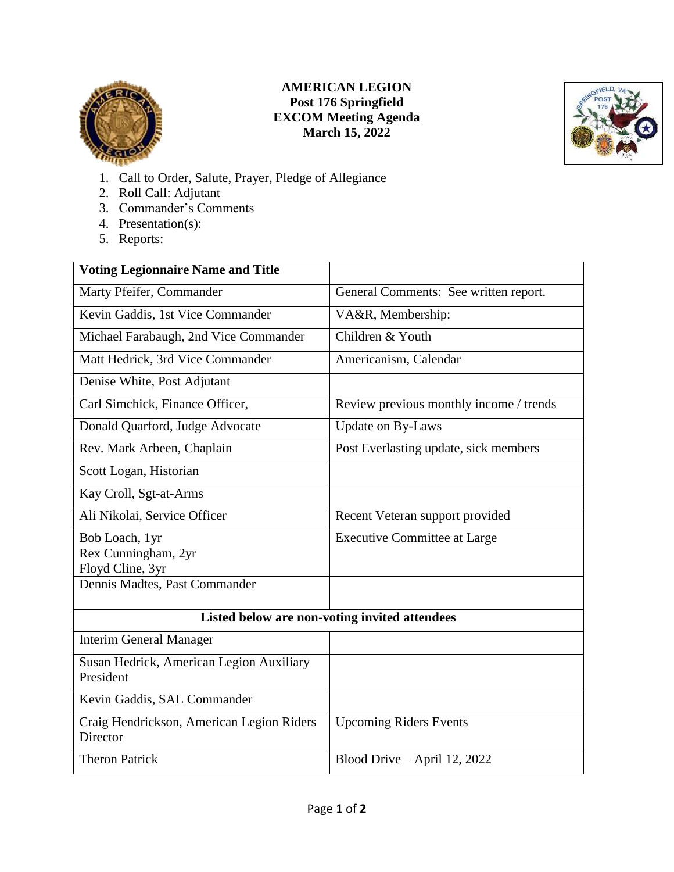

## **AMERICAN LEGION Post 176 Springfield EXCOM Meeting Agenda March 15, 2022**



- 1. Call to Order, Salute, Prayer, Pledge of Allegiance
- 2. Roll Call: Adjutant
- 3. Commander's Comments
- 4. Presentation(s):
- 5. Reports:

| <b>Voting Legionnaire Name and Title</b>              |                                         |
|-------------------------------------------------------|-----------------------------------------|
| Marty Pfeifer, Commander                              | General Comments: See written report.   |
| Kevin Gaddis, 1st Vice Commander                      | VA&R, Membership:                       |
| Michael Farabaugh, 2nd Vice Commander                 | Children & Youth                        |
| Matt Hedrick, 3rd Vice Commander                      | Americanism, Calendar                   |
| Denise White, Post Adjutant                           |                                         |
| Carl Simchick, Finance Officer,                       | Review previous monthly income / trends |
| Donald Quarford, Judge Advocate                       | <b>Update on By-Laws</b>                |
| Rev. Mark Arbeen, Chaplain                            | Post Everlasting update, sick members   |
| Scott Logan, Historian                                |                                         |
| Kay Croll, Sgt-at-Arms                                |                                         |
| Ali Nikolai, Service Officer                          | Recent Veteran support provided         |
| Bob Loach, 1yr                                        | <b>Executive Committee at Large</b>     |
| Rex Cunningham, 2yr                                   |                                         |
| Floyd Cline, 3yr                                      |                                         |
| Dennis Madtes, Past Commander                         |                                         |
| Listed below are non-voting invited attendees         |                                         |
| <b>Interim General Manager</b>                        |                                         |
| Susan Hedrick, American Legion Auxiliary              |                                         |
| President                                             |                                         |
| Kevin Gaddis, SAL Commander                           |                                         |
| Craig Hendrickson, American Legion Riders<br>Director | <b>Upcoming Riders Events</b>           |
| <b>Theron Patrick</b>                                 | Blood Drive - April 12, 2022            |